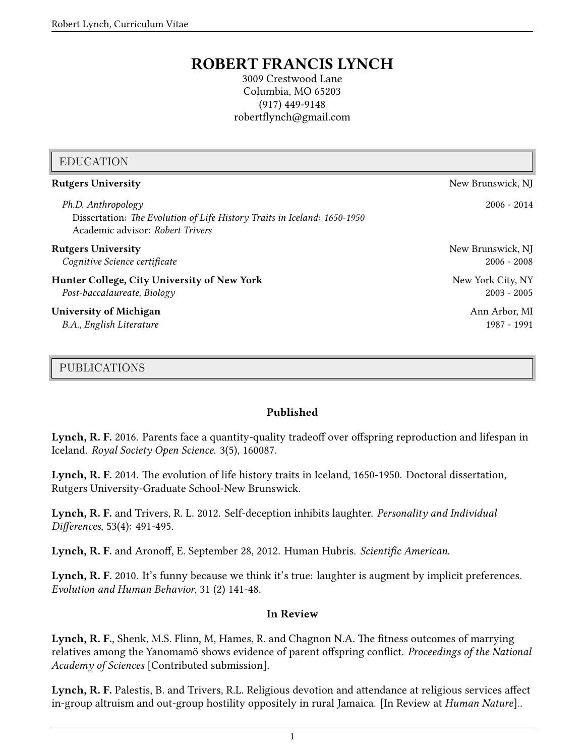# **ROBERT FRANCIS LYNCH**

3009 Crestwood Lane Columbia, MO 65203 (917) 449-9148 robertflynch@gmail.com

| <b>EDUCATION</b>                                                                                                                   |                   |
|------------------------------------------------------------------------------------------------------------------------------------|-------------------|
| <b>Rutgers University</b>                                                                                                          | New Brunswick, NJ |
| Ph.D. Anthropology<br>Dissertation: The Evolution of Life History Traits in Iceland: 1650-1950<br>Academic advisor: Robert Trivers | $2006 - 2014$     |
| <b>Rutgers University</b>                                                                                                          | New Brunswick, NJ |
| Cognitive Science certificate                                                                                                      | $2006 - 2008$     |
| Hunter College, City University of New York                                                                                        | New York City, NY |
| Post-baccalaureate, Biology                                                                                                        | $2003 - 2005$     |
| <b>University of Michigan</b>                                                                                                      | Ann Arbor, MI     |
| B.A., English Literature                                                                                                           | 1987 - 1991       |

#### PUBLICATIONS

#### **Published**

**Lynch, R. F.** 2016. Parents face a quantity-quality tradeoff over offspring reproduction and lifespan in Iceland. *Royal Society Open Science*. 3(5), 160087.

**Lynch, R. F.** 2014. The evolution of life history traits in Iceland, 1650-1950. Doctoral dissertation, Rutgers University-Graduate School-New Brunswick.

**Lynch, R. F.** and Trivers, R. L. 2012. Self-deception inhibits laughter. *Personality and Individual Differences*, 53(4): 491-495.

**Lynch, R. F.** and Aronoff, E. September 28, 2012. Human Hubris. *Scientific American*.

Lynch, R. F. 2010. It's funny because we think it's true: laughter is augment by implicit preferences. *Evolution and Human Behavior*, 31 (2) 141-48.

#### **In Review**

**Lynch, R. F.**, Shenk, M.S. Flinn, M, Hames, R. and Chagnon N.A. The fitness outcomes of marrying relatives among the Yanomamö shows evidence of parent offspring conflict. *Proceedings of the National Academy of Sciences* [Contributed submission].

**Lynch, R. F.** Palestis, B. and Trivers, R.L. Religious devotion and attendance at religious services affect in-group altruism and out-group hostility oppositely in rural Jamaica. [In Review at *Human Nature*]..

1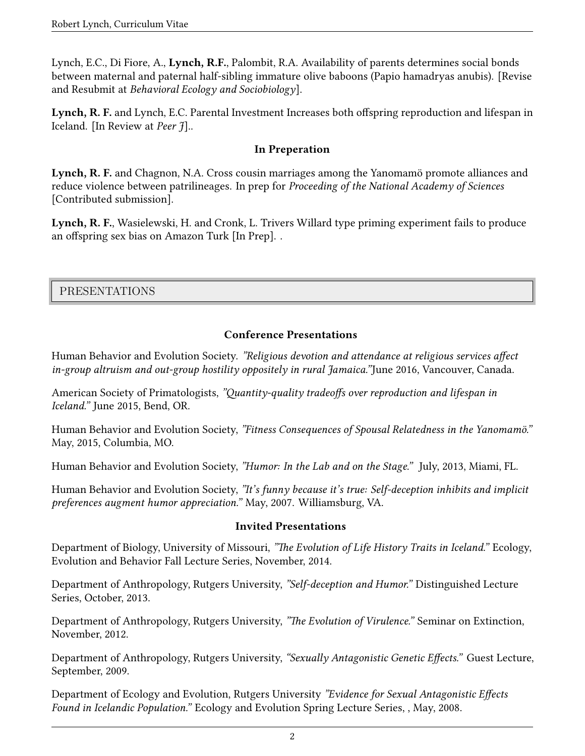Lynch, E.C., Di Fiore, A., **Lynch, R.F.**, Palombit, R.A. Availability of parents determines social bonds between maternal and paternal half-sibling immature olive baboons (Papio hamadryas anubis). [Revise and Resubmit at *Behavioral Ecology and Sociobiology*].

**Lynch, R. F.** and Lynch, E.C. Parental Investment Increases both offspring reproduction and lifespan in Iceland. [In Review at *Peer J*]..

#### **In Preperation**

**Lynch, R. F.** and Chagnon, N.A. Cross cousin marriages among the Yanomamö promote alliances and reduce violence between patrilineages. In prep for *Proceeding of the National Academy of Sciences* [Contributed submission].

**Lynch, R. F.**, Wasielewski, H. and Cronk, L. Trivers Willard type priming experiment fails to produce an offspring sex bias on Amazon Turk [In Prep]. .

PRESENTATIONS

#### **Conference Presentations**

Human Behavior and Evolution Society. *"Religious devotion and attendance at religious services affect in-group altruism and out-group hostility oppositely in rural Jamaica."*June 2016, Vancouver, Canada.

American Society of Primatologists, *"Quantity-quality tradeoffs over reproduction and lifespan in Iceland."* June 2015, Bend, OR.

Human Behavior and Evolution Society, *"Fitness Consequences of Spousal Relatedness in the Yanomamö."* May, 2015, Columbia, MO.

Human Behavior and Evolution Society, *"Humor: In the Lab and on the Stage."* July, 2013, Miami, FL.

Human Behavior and Evolution Society, *"It's funny because it's true: Self-deception inhibits and implicit preferences augment humor appreciation."* May, 2007. Williamsburg, VA.

#### **Invited Presentations**

Department of Biology, University of Missouri, *"The Evolution of Life History Traits in Iceland."* Ecology, Evolution and Behavior Fall Lecture Series, November, 2014.

Department of Anthropology, Rutgers University, *"Self-deception and Humor."* Distinguished Lecture Series, October, 2013.

Department of Anthropology, Rutgers University, *"The Evolution of Virulence."* Seminar on Extinction, November, 2012.

Department of Anthropology, Rutgers University, *"Sexually Antagonistic Genetic Effects."* Guest Lecture, September, 2009.

Department of Ecology and Evolution, Rutgers University *"Evidence for Sexual Antagonistic Effects Found in Icelandic Population."* Ecology and Evolution Spring Lecture Series, , May, 2008.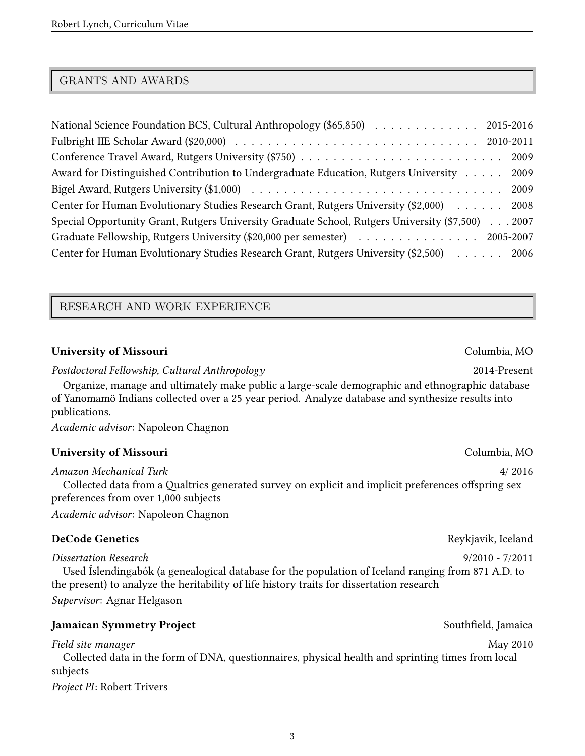### GRANTS AND AWARDS

| National Science Foundation BCS, Cultural Anthropology (\$65,850) 2015-2016                      |
|--------------------------------------------------------------------------------------------------|
|                                                                                                  |
|                                                                                                  |
| Award for Distinguished Contribution to Undergraduate Education, Rutgers University<br>2009      |
|                                                                                                  |
| Center for Human Evolutionary Studies Research Grant, Rutgers University (\$2,000) 2008          |
| Special Opportunity Grant, Rutgers University Graduate School, Rutgers University (\$7,500) 2007 |
| Graduate Fellowship, Rutgers University (\$20,000 per semester) Accords Accords 2005-2007        |
| Center for Human Evolutionary Studies Research Grant, Rutgers University (\$2,500) 2006          |

#### RESEARCH AND WORK EXPERIENCE

#### **University of Missouri** Columbia, MO

*Postdoctoral Fellowship, Cultural Anthropology* 2014-Present

Organize, manage and ultimately make public a large-scale demographic and ethnographic database of Yanomamö Indians collected over a 25 year period. Analyze database and synthesize results into publications.

*Academic advisor*: Napoleon Chagnon

#### **University of Missouri** Columbia, MO

*Amazon Mechanical Turk* 4/ 2016 Collected data from a Qualtrics generated survey on explicit and implicit preferences offspring sex preferences from over 1,000 subjects *Academic advisor*: Napoleon Chagnon

#### **DeCode Genetics** Reykjavik, Iceland

#### *Dissertation Research* 9/2010 - 7/2011

Used Íslendingabók (a genealogical database for the population of Iceland ranging from 871 A.D. to the present) to analyze the heritability of life history traits for dissertation research

*Supervisor*: Agnar Helgason

#### **Jamaican Symmetry Project** Southfield, Jamaica

*Field site manager* May 2010 Collected data in the form of DNA, questionnaires, physical health and sprinting times from local subjects

*Project PI*: Robert Trivers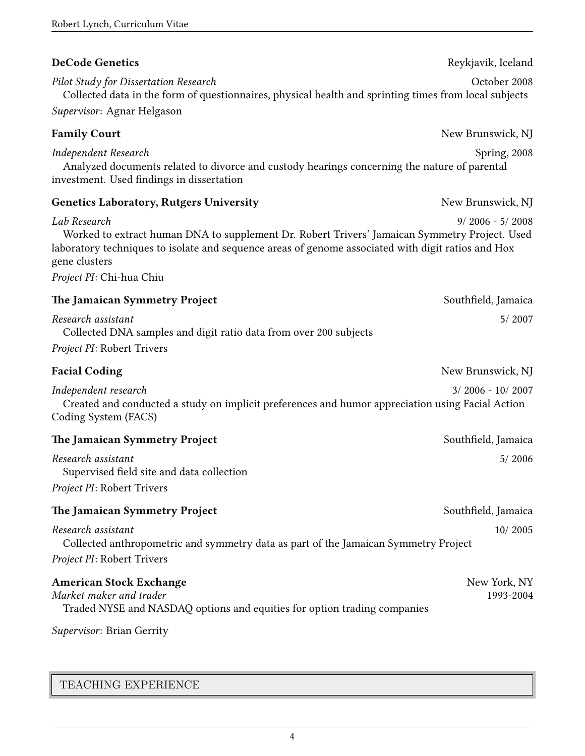| <b>DeCode Genetics</b>                                                                                                                                                                                                                                           | Reykjavik, Iceland        |
|------------------------------------------------------------------------------------------------------------------------------------------------------------------------------------------------------------------------------------------------------------------|---------------------------|
| Pilot Study for Dissertation Research<br>Collected data in the form of questionnaires, physical health and sprinting times from local subjects                                                                                                                   | October 2008              |
| Supervisor: Agnar Helgason                                                                                                                                                                                                                                       |                           |
| <b>Family Court</b>                                                                                                                                                                                                                                              | New Brunswick, NJ         |
| Independent Research<br>Analyzed documents related to divorce and custody hearings concerning the nature of parental<br>investment. Used findings in dissertation                                                                                                | Spring, 2008              |
| <b>Genetics Laboratory, Rutgers University</b>                                                                                                                                                                                                                   | New Brunswick, NJ         |
| Lab Research<br>Worked to extract human DNA to supplement Dr. Robert Trivers' Jamaican Symmetry Project. Used<br>laboratory techniques to isolate and sequence areas of genome associated with digit ratios and Hox<br>gene clusters<br>Project PI: Chi-hua Chiu | $9/2006 - 5/2008$         |
| The Jamaican Symmetry Project                                                                                                                                                                                                                                    | Southfield, Jamaica       |
| Research assistant<br>Collected DNA samples and digit ratio data from over 200 subjects<br>Project PI: Robert Trivers                                                                                                                                            | 5/2007                    |
| <b>Facial Coding</b>                                                                                                                                                                                                                                             | New Brunswick, NJ         |
| Independent research<br>Created and conducted a study on implicit preferences and humor appreciation using Facial Action<br>Coding System (FACS)                                                                                                                 | $3/2006 - 10/2007$        |
| The Jamaican Symmetry Project                                                                                                                                                                                                                                    | Southfield, Jamaica       |
| Research assistant<br>Supervised field site and data collection<br>Project PI: Robert Trivers                                                                                                                                                                    | 5/2006                    |
| The Jamaican Symmetry Project                                                                                                                                                                                                                                    | Southfield, Jamaica       |
| Research assistant<br>Collected anthropometric and symmetry data as part of the Jamaican Symmetry Project<br>Project PI: Robert Trivers                                                                                                                          | 10/2005                   |
| <b>American Stock Exchange</b><br>Market maker and trader<br>Traded NYSE and NASDAQ options and equities for option trading companies                                                                                                                            | New York, NY<br>1993-2004 |
| Supervisor: Brian Gerrity                                                                                                                                                                                                                                        |                           |

TEACHING EXPERIENCE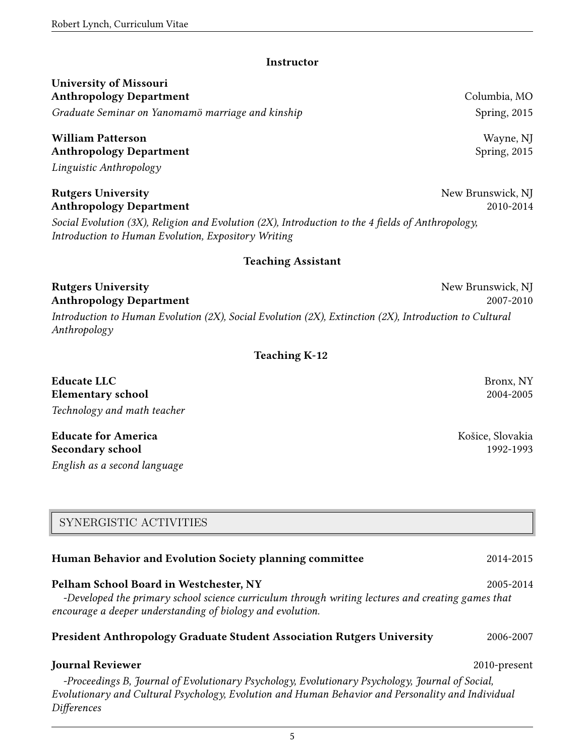#### **Instructor**

# **University of Missouri Anthropology Department** Columbia, MO

*Graduate Seminar on Yanomamö marriage and kinship* Spring, 2015

# **William Patterson** Wayne, NJ **Anthropology Department** Spring, 2015

*Linguistic Anthropology*

#### **Rutgers University** New Brunswick, NJ **Anthropology Department** 2010-2014

*Social Evolution (3X), Religion and Evolution (2X), Introduction to the 4 fields of Anthropology, Introduction to Human Evolution, Expository Writing*

#### **Teaching Assistant**

**Rutgers University** New Brunswick, NJ **Anthropology Department** 2007-2010 *Introduction to Human Evolution (2X), Social Evolution (2X), Extinction (2X), Introduction to Cultural Anthropology*

#### **Teaching K-12**

**Educate LLC** Bronx, NY **Elementary school** 2004-2005 *Technology and math teacher*

**Educate for America** The Communication of the Communication of the Communication of the Košice, Slovakia **Secondary school** 1992-1993 *English as a second language*

# SYNERGISTIC ACTIVITIES

# **Human Behavior and Evolution Society planning committee** 2014-2015

#### **Pelham School Board in Westchester, NY** 2005-2014

*-Developed the primary school science curriculum through writing lectures and creating games that encourage a deeper understanding of biology and evolution.*

#### **President Anthropology Graduate Student Association Rutgers University** 2006-2007

# **Journal Reviewer** 2010-present

*-Proceedings B, Journal of Evolutionary Psychology, Evolutionary Psychology, Journal of Social, Evolutionary and Cultural Psychology, Evolution and Human Behavior and Personality and Individual Differences*

5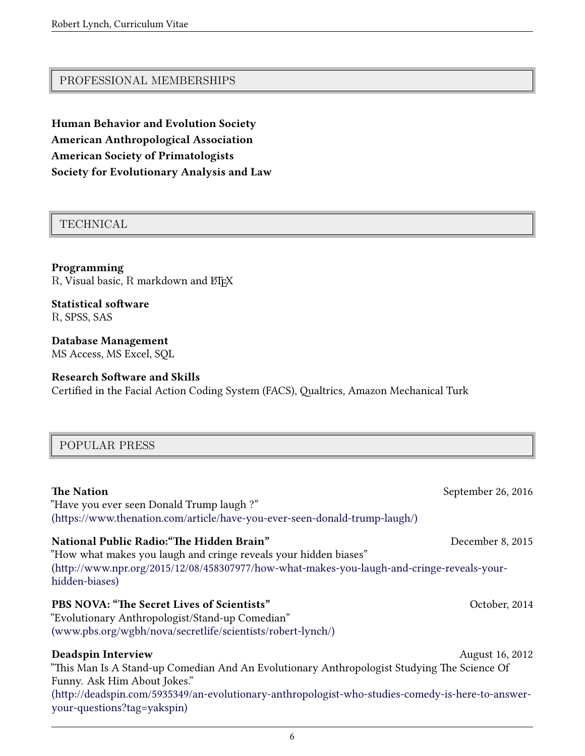### PROFESSIONAL MEMBERSHIPS

**Human Behavior and Evolution Society American Anthropological Association American Society of Primatologists Society for Evolutionary Analysis and Law**

### TECHNICAL

**Programming** R, Visual basic, R markdown and ETEX

**Statistical software** R, SPSS, SAS

**Database Management** MS Access, MS Excel, SQL

#### **Research Software and Skills** Certified in the Facial Action Coding System (FACS), Qualtrics, Amazon Mechanical Turk

# POPULAR PRESS

| <b>The Nation</b><br>"Have you ever seen Donald Trump laugh?"<br>(https://www.thenation.com/article/have-you-ever-seen-donald-trump-laugh/) | September 26, 2016 |
|---------------------------------------------------------------------------------------------------------------------------------------------|--------------------|
| National Public Radio: "The Hidden Brain"                                                                                                   | December 8, 2015   |
| "How what makes you laugh and cringe reveals your hidden biases"                                                                            |                    |
| (http://www.npr.org/2015/12/08/458307977/how-what-makes-you-laugh-and-cringe-reveals-your-<br>hidden-biases)                                |                    |
| PBS NOVA: "The Secret Lives of Scientists"                                                                                                  | October, 2014      |
| "Evolutionary Anthropologist/Stand-up Comedian"                                                                                             |                    |
| (www.pbs.org/wgbh/nova/secretlife/scientists/robert-lynch/)                                                                                 |                    |
| <b>Deadspin Interview</b>                                                                                                                   | August 16, 2012    |
| "This Man Is A Stand-up Comedian And An Evolutionary Anthropologist Studying The Science Of                                                 |                    |
| Funny. Ask Him About Jokes."                                                                                                                |                    |
| (http://deadspin.com/5935349/an-evolutionary-anthropologist-who-studies-comedy-is-here-to-answer-<br>your-questions?tag=yakspin)            |                    |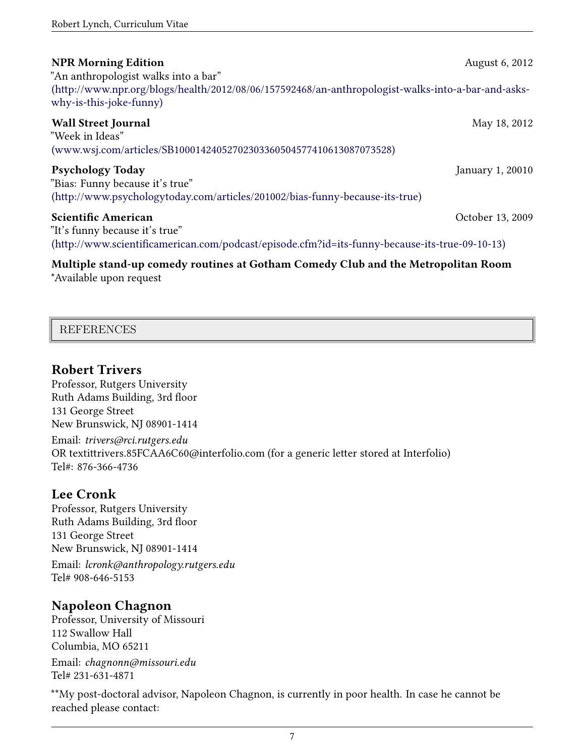| <b>NPR Morning Edition</b><br>"An anthropologist walks into a bar"<br>(http://www.npr.org/blogs/health/2012/08/06/157592468/an-anthropologist-walks-into-a-bar-and-asks-<br>why-is-this-joke-funny) | August 6, 2012   |
|-----------------------------------------------------------------------------------------------------------------------------------------------------------------------------------------------------|------------------|
| <b>Wall Street Journal</b><br>"Week in Ideas"<br>(www.wsj.com/articles/SB10001424052702303360504577410613087073528)                                                                                 | May 18, 2012     |
| <b>Psychology Today</b><br>"Bias: Funny because it's true"<br>(http://www.psychologytoday.com/articles/201002/bias-funny-because-its-true)                                                          | January 1, 20010 |
| <b>Scientific American</b><br>"It's funny because it's true"<br>(http://www.scientificamerican.com/podcast/episode.cfm?id=its-funny-because-its-true-09-10-13)                                      | October 13, 2009 |
| Multiple stand-up comedy routines at Gotham Comedy Club and the Metropolitan Room                                                                                                                   |                  |

\*Available upon request

| <b>REFERENCES</b> |  |
|-------------------|--|
|                   |  |
|                   |  |

# **Robert Trivers**

Professor, Rutgers University Ruth Adams Building, 3rd floor 131 George Street New Brunswick, NJ 08901-1414

Email: *trivers@rci.rutgers.edu* OR textittrivers.85FCAA6C60@interfolio.com (for a generic letter stored at Interfolio) Tel#: 876-366-4736

# **Lee Cronk**

Professor, Rutgers University Ruth Adams Building, 3rd floor 131 George Street New Brunswick, NJ 08901-1414

Email: *lcronk@anthropology.rutgers.edu* Tel# 908-646-5153

# **Napoleon Chagnon**

Professor, University of Missouri 112 Swallow Hall Columbia, MO 65211 Email: *chagnonn@missouri.edu* Tel# 231-631-4871

\*\*My post-doctoral advisor, Napoleon Chagnon, is currently in poor health. In case he cannot be reached please contact: